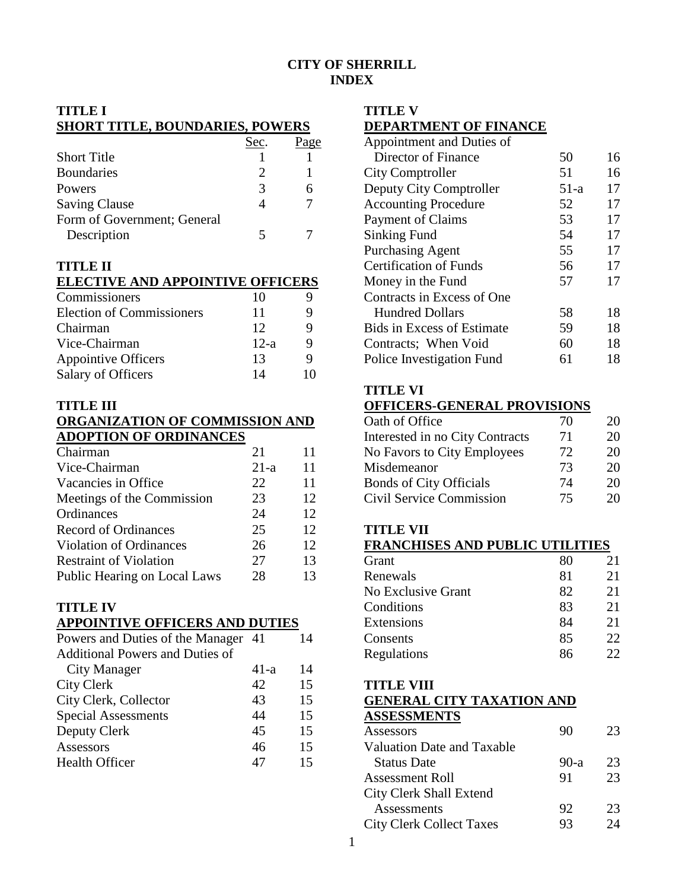## **CITY OF SHERRILL INDEX**

# **TITLE I**

### **SHORT TITLE, BOUNDARIES, POWERS**

|                             | Sec. | 90e |
|-----------------------------|------|-----|
| <b>Short Title</b>          |      |     |
| <b>Boundaries</b>           |      |     |
| Powers                      | 3    |     |
| <b>Saving Clause</b>        |      |     |
| Form of Government; General |      |     |
| Description                 |      |     |

## **TITLE II**

#### **ELECTIVE AND APPOINTIVE OFFICERS**

| Commissioners                    | 10     |    |
|----------------------------------|--------|----|
| <b>Election of Commissioners</b> | 11     |    |
| Chairman                         | 12     |    |
| Vice-Chairman                    | $12-a$ |    |
| <b>Appointive Officers</b>       | 13     |    |
| Salary of Officers               | 14     | ۱0 |

#### **TITLE III**

#### **ORGANIZATION OF COMMISSION AND ADOPTION OF ORDINANCES**

| Chairman                       | 21     | 11 |
|--------------------------------|--------|----|
| Vice-Chairman                  | $21-a$ | 11 |
| Vacancies in Office            | 22     | 11 |
| Meetings of the Commission     | 23     | 12 |
| Ordinances                     | 24     | 12 |
| <b>Record of Ordinances</b>    | 25     | 12 |
| <b>Violation of Ordinances</b> | 26     | 12 |
| <b>Restraint of Violation</b>  | 27     | 13 |
| Public Hearing on Local Laws   | 28     | 13 |

#### **TITLE IV APPOINTIVE OFFICERS AND DUTIES**

| Powers and Duties of the Manager 41    |      | 14 |
|----------------------------------------|------|----|
| <b>Additional Powers and Duties of</b> |      |    |
| City Manager                           | 41-a | 14 |
| <b>City Clerk</b>                      | 42   | 15 |
| City Clerk, Collector                  | 43   | 15 |
| <b>Special Assessments</b>             | 44   | 15 |
| Deputy Clerk                           | 45   | 15 |
| Assessors                              | 46   | 15 |
| <b>Health Officer</b>                  | 47   | 15 |
|                                        |      |    |

## **TITLE V**

## **DEPARTMENT OF FINANCE**

| Appointment and Duties of         |      |    |
|-----------------------------------|------|----|
| Director of Finance               | 50   | 16 |
| <b>City Comptroller</b>           | 51   | 16 |
| Deputy City Comptroller           | 51-a | 17 |
| <b>Accounting Procedure</b>       | 52   | 17 |
| Payment of Claims                 | 53   | 17 |
| Sinking Fund                      | 54   | 17 |
| <b>Purchasing Agent</b>           | 55   | 17 |
| <b>Certification of Funds</b>     | 56   | 17 |
| Money in the Fund                 | 57   | 17 |
| Contracts in Excess of One        |      |    |
| <b>Hundred Dollars</b>            | 58   | 18 |
| <b>Bids in Excess of Estimate</b> | 59   | 18 |
| Contracts; When Void              | 60   | 18 |
| Police Investigation Fund         | 61   | 18 |

### **TITLE VI**

### **OFFICERS-GENERAL PROVISIONS**

| Oath of Office                  | 70 | 20 |
|---------------------------------|----|----|
| Interested in no City Contracts | 71 | 20 |
| No Favors to City Employees     | 72 | 20 |
| Misdemeanor                     | 73 | 20 |
| <b>Bonds of City Officials</b>  | 74 | 20 |
| Civil Service Commission        | 75 | 20 |

### **TITLE VII**

## **FRANCHISES AND PUBLIC UTILITIES**

| Grant              | 80 | 21  |
|--------------------|----|-----|
| Renewals           | 81 | 21  |
| No Exclusive Grant | 82 | 21  |
| Conditions         | 83 | 21  |
| Extensions         | 84 | 21  |
| Consents           | 85 | 22  |
| Regulations        | 86 | 22. |

#### **TITLE VIII**

#### **GENERAL CITY TAXATION AND ASSESSMENTS**

| Assessors                       | 90     | 23 |
|---------------------------------|--------|----|
| Valuation Date and Taxable      |        |    |
| <b>Status Date</b>              | $90-a$ | 23 |
| <b>Assessment Roll</b>          | 91     | 23 |
| City Clerk Shall Extend         |        |    |
| Assessments                     | 92     | 23 |
| <b>City Clerk Collect Taxes</b> | 93     | 24 |
|                                 |        |    |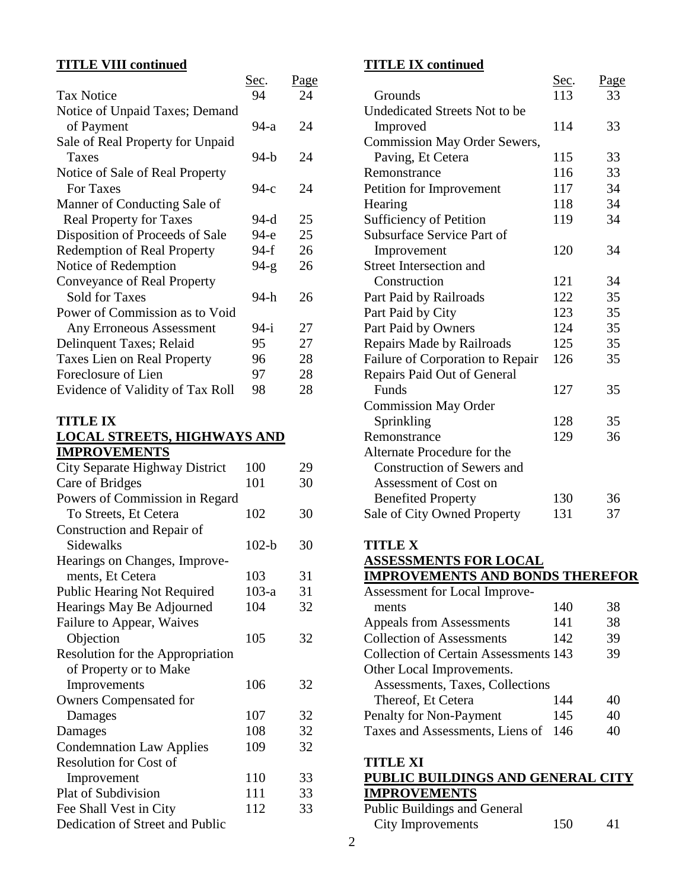## **TITLE VIII continued**

| TITER VIII COMMITTE                |             |             |
|------------------------------------|-------------|-------------|
|                                    | <u>Sec.</u> | <u>Page</u> |
| <b>Tax Notice</b>                  | 94          | 24          |
| Notice of Unpaid Taxes; Demand     |             |             |
| of Payment                         | 94-a        | 24          |
| Sale of Real Property for Unpaid   |             |             |
| Taxes                              | 94-b        | 24          |
| Notice of Sale of Real Property    |             |             |
| For Taxes                          | 94-с        | 24          |
| Manner of Conducting Sale of       |             |             |
| <b>Real Property for Taxes</b>     | 94-d        | 25          |
| Disposition of Proceeds of Sale    | 94-е        | 25          |
| <b>Redemption of Real Property</b> | 94-f        | 26          |
| Notice of Redemption               | $94-g$      | 26          |
| Conveyance of Real Property        |             |             |
| <b>Sold for Taxes</b>              | 94-h        | 26          |
| Power of Commission as to Void     |             |             |
| <b>Any Erroneous Assessment</b>    | $94-i$      | 27          |
| Delinquent Taxes; Relaid           | 95          | 27          |
| <b>Taxes Lien on Real Property</b> | 96          | 28          |
| Foreclosure of Lien                | 97          | 28          |
| Evidence of Validity of Tax Roll   | 98          | 28          |
|                                    |             |             |

## **TITLE IX LOCAL STREETS, HIGHWAYS AND IMPROVEMENTS**

| City Separate Highway District     | 100     | 29 |
|------------------------------------|---------|----|
| Care of Bridges                    | 101     | 30 |
| Powers of Commission in Regard     |         |    |
| To Streets, Et Cetera              | 102     | 30 |
| Construction and Repair of         |         |    |
| Sidewalks                          | $102-b$ | 30 |
| Hearings on Changes, Improve-      |         |    |
| ments, Et Cetera                   | 103     | 31 |
| <b>Public Hearing Not Required</b> | $103-a$ | 31 |
| Hearings May Be Adjourned          | 104     | 32 |
| Failure to Appear, Waives          |         |    |
| Objection                          | 105     | 32 |
| Resolution for the Appropriation   |         |    |
| of Property or to Make             |         |    |
| Improvements                       | 106     | 32 |
| <b>Owners Compensated for</b>      |         |    |
| Damages                            | 107     | 32 |
| Damages                            | 108     | 32 |
| <b>Condemnation Law Applies</b>    | 109     | 32 |
| <b>Resolution for Cost of</b>      |         |    |
| Improvement                        | 110     | 33 |
| Plat of Subdivision                | 111     | 33 |
| Fee Shall Vest in City             | 112     | 33 |
| Dedication of Street and Public    |         |    |

## **TITLE IX continued**

|                                              | <u>Sec</u> . | Page |
|----------------------------------------------|--------------|------|
| Grounds                                      | 113          | 33   |
| Undedicated Streets Not to be                |              |      |
| Improved                                     | 114          | 33   |
| <b>Commission May Order Sewers,</b>          |              |      |
| Paving, Et Cetera                            | 115          | 33   |
| Remonstrance                                 | 116          | 33   |
| Petition for Improvement                     | 117          | 34   |
| Hearing                                      | 118          | 34   |
| <b>Sufficiency of Petition</b>               | 119          | 34   |
| Subsurface Service Part of                   |              |      |
| Improvement                                  | 120          | 34   |
| <b>Street Intersection and</b>               |              |      |
| Construction                                 | 121          | 34   |
| Part Paid by Railroads                       | 122          | 35   |
| Part Paid by City                            | 123          | 35   |
| Part Paid by Owners                          | 124          | 35   |
| Repairs Made by Railroads                    | 125          | 35   |
| Failure of Corporation to Repair             | 126          | 35   |
| Repairs Paid Out of General                  |              |      |
| Funds                                        | 127          | 35   |
| <b>Commission May Order</b>                  |              |      |
| Sprinkling                                   | 128          | 35   |
| Remonstrance                                 | 129          | 36   |
| Alternate Procedure for the                  |              |      |
| <b>Construction of Sewers and</b>            |              |      |
| Assessment of Cost on                        |              |      |
| <b>Benefited Property</b>                    | 130          | 36   |
| Sale of City Owned Property                  | 131          | 37   |
|                                              |              |      |
| <b>TITLE X</b>                               |              |      |
| <b>ASSESSMENTS FOR LOCAL</b>                 |              |      |
| <b>IMPROVEMENTS AND BONDS THEREFOR</b>       |              |      |
| Assessment for Local Improve-                |              |      |
| ments                                        | 140          | 38   |
| <b>Appeals from Assessments</b>              | 141          | 38   |
| <b>Collection of Assessments</b>             | 142          | 39   |
| <b>Collection of Certain Assessments 143</b> |              | 39   |
|                                              |              |      |

| IMPROVEMENTS AND BONDS THEREFOR |  |  |
|---------------------------------|--|--|
|                                 |  |  |

| Assessment for Local Improve-                |     |    |
|----------------------------------------------|-----|----|
| ments                                        | 140 | 38 |
| Appeals from Assessments                     | 141 | 38 |
| <b>Collection of Assessments</b>             | 142 | 39 |
| <b>Collection of Certain Assessments 143</b> |     | 39 |
| Other Local Improvements.                    |     |    |
| Assessments, Taxes, Collections              |     |    |
| Thereof, Et Cetera                           | 144 | 40 |
| Penalty for Non-Payment                      | 145 | 40 |
| Taxes and Assessments, Liens of              | 146 | 40 |
|                                              |     |    |

**TITLE XI**

| <b>PUBLIC BUILDINGS AND GENERAL CITY</b> |     |    |
|------------------------------------------|-----|----|
| <b>IMPROVEMENTS</b>                      |     |    |
| <b>Public Buildings and General</b>      |     |    |
| City Improvements                        | 150 | 41 |
|                                          |     |    |